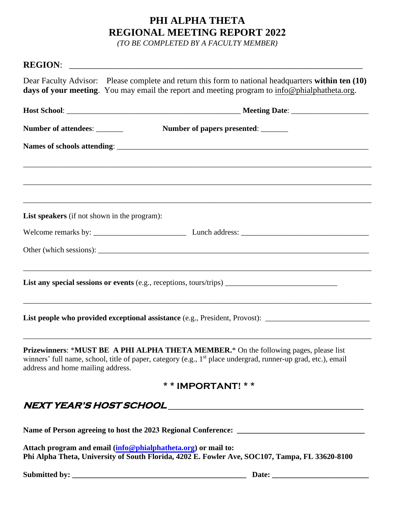## **PHI ALPHA THETA REGIONAL MEETING REPORT 2022**

*(TO BE COMPLETED BY A FACULTY MEMBER)* 

| Dear Faculty Advisor: Please complete and return this form to national headquarters within ten (10)<br>days of your meeting. You may email the report and meeting program to info@phialphatheta.org.                                                    |  |
|---------------------------------------------------------------------------------------------------------------------------------------------------------------------------------------------------------------------------------------------------------|--|
|                                                                                                                                                                                                                                                         |  |
| Number of attendees: _______<br>Number of papers presented: _______                                                                                                                                                                                     |  |
|                                                                                                                                                                                                                                                         |  |
|                                                                                                                                                                                                                                                         |  |
| List speakers (if not shown in the program):                                                                                                                                                                                                            |  |
|                                                                                                                                                                                                                                                         |  |
|                                                                                                                                                                                                                                                         |  |
|                                                                                                                                                                                                                                                         |  |
| List people who provided exceptional assistance (e.g., President, Provost): __________________________________                                                                                                                                          |  |
| Prizewinners: *MUST BE A PHI ALPHA THETA MEMBER.* On the following pages, please list<br>winners' full name, school, title of paper, category (e.g., 1 <sup>st</sup> place undergrad, runner-up grad, etc.), email<br>address and home mailing address. |  |
| * * IMPORTANT! * *                                                                                                                                                                                                                                      |  |
|                                                                                                                                                                                                                                                         |  |
|                                                                                                                                                                                                                                                         |  |
| Attach program and email ( <mark>info@phialphatheta.org</mark> ) or mail to:<br>Phi Alpha Thata Huiyansity of South Flavida, 4202 F. Fayylar Aya, SOC107, Tampa, FL 33620, 8100.                                                                        |  |

**Phi Alpha Theta, University of South Florida, 4202 E. Fowler Ave, SOC107, Tampa, FL 33620-8100** 

**Submitted by: \_\_\_\_\_\_\_\_\_\_\_\_\_\_\_\_\_\_\_\_\_\_\_\_\_\_\_\_\_\_\_\_\_\_\_\_\_\_\_\_\_\_\_\_\_ Date: \_\_\_\_\_\_\_\_\_\_\_\_\_\_\_\_\_\_\_\_\_\_\_\_\_**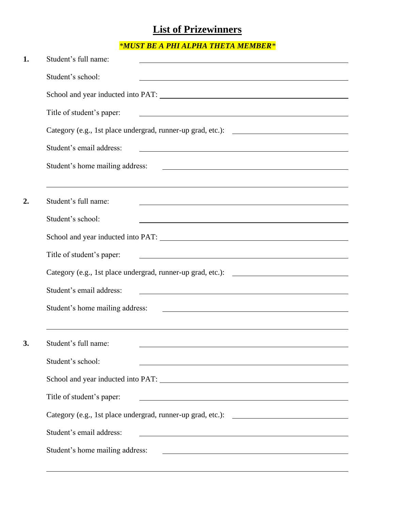## **List of Prizewinners**

## *\*MUST BE A PHI ALPHA THETA MEMBER\**

| 1.               | Student's full name:                                                                                                                                                                                                                               |
|------------------|----------------------------------------------------------------------------------------------------------------------------------------------------------------------------------------------------------------------------------------------------|
|                  | Student's school:                                                                                                                                                                                                                                  |
|                  |                                                                                                                                                                                                                                                    |
|                  | Title of student's paper:<br><u> 1989 - Johann Stoff, Amerikaansk politiker († 1908)</u>                                                                                                                                                           |
|                  |                                                                                                                                                                                                                                                    |
|                  | Student's email address:<br><u> 1980 - Johann Barn, mars ann an t-Amhain Aonaichte ann an t-Amhain Aonaichte ann an t-Amhain Aonaichte ann an</u>                                                                                                  |
|                  | Student's home mailing address:<br><u> 1980 - Johann Barn, fransk politik formuler (d. 1980)</u>                                                                                                                                                   |
| $\overline{2}$ . | ,我们也不会有什么?""我们的人,我们也不会有什么?""我们的人,我们也不会有什么?""我们的人,我们也不会有什么?""我们的人,我们也不会有什么?""我们的人<br>Student's full name:                                                                                                                                           |
|                  | Student's school:<br>the control of the control of the control of the control of the control of the control of the control of the control of the control of the control of the control of the control of the control of the control of the control |
|                  |                                                                                                                                                                                                                                                    |
|                  | Title of student's paper:<br><u>and the contract of the contract of the contract of the contract of the contract of the contract of the contract of</u>                                                                                            |
|                  |                                                                                                                                                                                                                                                    |
|                  | Student's email address:<br><u> 1980 - Jan Samuel Barbara, martin da shekara 1980 - An tsara 1980 - An tsara 1980 - An tsara 1980 - An tsara</u>                                                                                                   |
|                  | Student's home mailing address:<br><u> 1980 - Andrea Barbara, amerikan basar dan berasal dalam berasal dalam berasal dalam berasal dalam berasal da</u>                                                                                            |
|                  |                                                                                                                                                                                                                                                    |
| 3.               | Student's full name:                                                                                                                                                                                                                               |
|                  | Student's school:<br><u> 1980 - Johann Barn, mars ann an t-Amhain Aonaich an t-Aonaich an t-Aonaich an t-Aonaich an t-Aonaich an t-Aon</u>                                                                                                         |
|                  |                                                                                                                                                                                                                                                    |
|                  | Title of student's paper:                                                                                                                                                                                                                          |
|                  |                                                                                                                                                                                                                                                    |
|                  | Student's email address:<br><u> 1980 - Johann Stoff, deutscher Stoffen und der Stoffen und der Stoffen und der Stoffen und der Stoffen und de</u>                                                                                                  |
|                  | Student's home mailing address:<br><u> 1980 - Johann Stoff, deutscher Stoffen und der Stoffen und der Stoffen und der Stoffen und der Stoffen und de</u>                                                                                           |